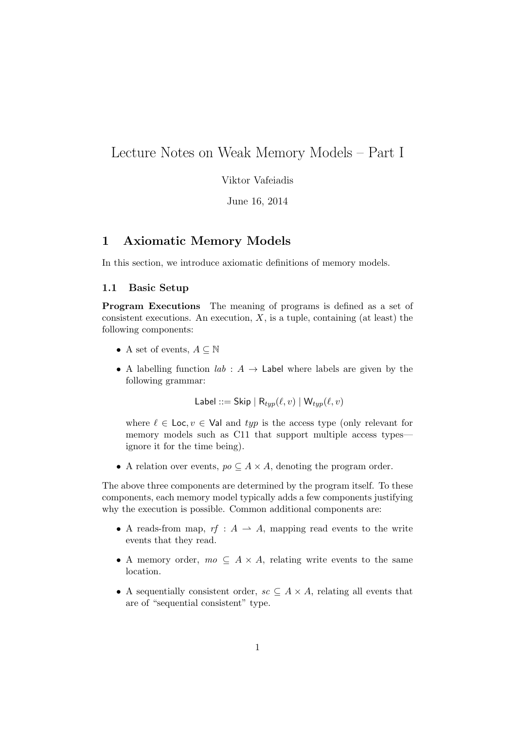# Lecture Notes on Weak Memory Models – Part I

Viktor Vafeiadis

June 16, 2014

# 1 Axiomatic Memory Models

In this section, we introduce axiomatic definitions of memory models.

### 1.1 Basic Setup

Program Executions The meaning of programs is defined as a set of consistent executions. An execution,  $X$ , is a tuple, containing (at least) the following components:

- A set of events,  $A \subseteq \mathbb{N}$
- A labelling function  $lab: A \rightarrow$  Label where labels are given by the following grammar:

Label ::= Skip | 
$$
R_{typ}(\ell, v)
$$
 |  $W_{typ}(\ell, v)$ 

where  $\ell \in \text{Loc}, v \in \text{Val}$  and typ is the access type (only relevant for memory models such as C11 that support multiple access types ignore it for the time being).

• A relation over events,  $po \subseteq A \times A$ , denoting the program order.

The above three components are determined by the program itself. To these components, each memory model typically adds a few components justifying why the execution is possible. Common additional components are:

- A reads-from map,  $rf : A \longrightarrow A$ , mapping read events to the write events that they read.
- A memory order,  $mo \subseteq A \times A$ , relating write events to the same location.
- A sequentially consistent order,  $sc \subseteq A \times A$ , relating all events that are of "sequential consistent" type.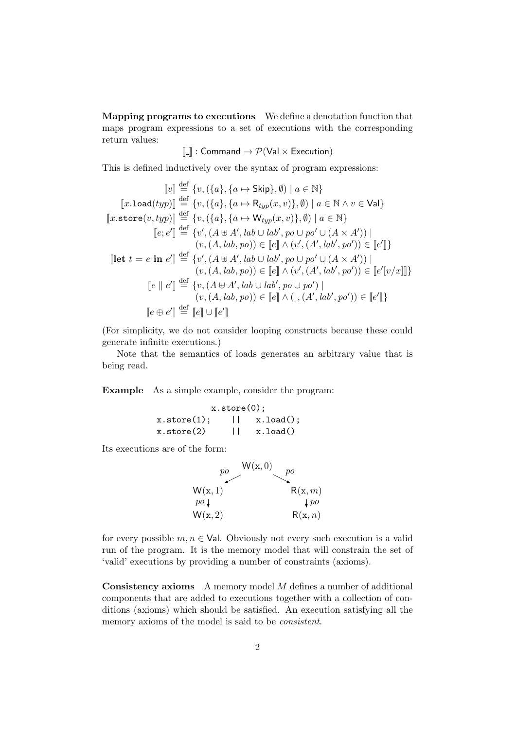Mapping programs to executions We define a denotation function that maps program expressions to a set of executions with the corresponding return values:

$$
\llbracket . \rrbracket : \mathsf{Command} \rightarrow \mathcal{P}(\mathsf{Val} \times \mathsf{Execution})
$$

This is defined inductively over the syntax of program expressions:

$$
[v] \stackrel{\text{def}}{=} \{v, (\{a\}, \{a \mapsto \text{Skip}\}, \emptyset) \mid a \in \mathbb{N}\}
$$

$$
[x.\text{load}(typ)] \stackrel{\text{def}}{=} \{v, (\{a\}, \{a \mapsto \text{R}_{typ}(x, v)\}, \emptyset) \mid a \in \mathbb{N} \land v \in \text{Val}\}
$$

$$
[x.\text{store}(v, typ)] \stackrel{\text{def}}{=} \{v, (\{a\}, \{a \mapsto \text{W}_{typ}(x, v)\}, \emptyset) \mid a \in \mathbb{N}\}
$$

$$
[e; e'] \stackrel{\text{def}}{=} \{v', (A \uplus A', lab \cup lab', po \cup po' \cup (A \times A')) \mid (v, (A, lab, po)) \in [e] \land (v', (A', lab', po')) \in [e']\}
$$

$$
[let \ t = e \text{ in } e'] \stackrel{\text{def}}{=} \{v', (A \uplus A', lab \cup lab', po \cup po' \cup (A \times A')) \mid (v, (A, lab, po)) \in [e] \land (v', (A', lab', po')) \in [e'[v/x]]\}
$$

$$
[e \parallel e'] \stackrel{\text{def}}{=} \{v, (A \uplus A', lab \cup lab', po \cup po') \mid (v, (A, lab, po)) \in [e] \land (., (A', lab', po')) \in [e']\}
$$

$$
[e \oplus e'] \stackrel{\text{def}}{=} [e] \cup [e']
$$

(For simplicity, we do not consider looping constructs because these could generate infinite executions.)

Note that the semantics of loads generates an arbitrary value that is being read.

Example As a simple example, consider the program:

| $x.\text{store}(0);$ |  |           |
|----------------------|--|-----------|
| $x.\text{store}(1);$ |  | x.load(); |
| $x.\text{store}(2)$  |  | x.load()  |

Its executions are of the form:



for every possible  $m, n \in$  Val. Obviously not every such execution is a valid run of the program. It is the memory model that will constrain the set of 'valid' executions by providing a number of constraints (axioms).

Consistency axioms A memory model M defines a number of additional components that are added to executions together with a collection of conditions (axioms) which should be satisfied. An execution satisfying all the memory axioms of the model is said to be consistent.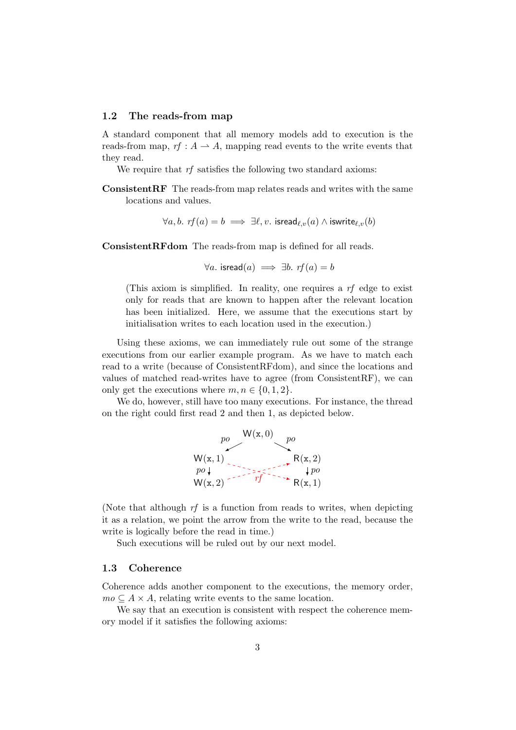### <span id="page-2-0"></span>1.2 The reads-from map

A standard component that all memory models add to execution is the reads-from map,  $rf : A \rightarrow A$ , mapping read events to the write events that they read.

We require that  $rf$  satisfies the following two standard axioms:

ConsistentRF The reads-from map relates reads and writes with the same locations and values.

$$
\forall a, b. \text{ } rf(a) = b \implies \exists \ell, v. \text{ } \text{isread}_{\ell, v}(a) \land \text{iswrite}_{\ell, v}(b)
$$

ConsistentRFdom The reads-from map is defined for all reads.

$$
\forall a. \ \text{isread}(a) \implies \exists b. \ \text{rf}(a) = b
$$

(This axiom is simplified. In reality, one requires a rf edge to exist only for reads that are known to happen after the relevant location has been initialized. Here, we assume that the executions start by initialisation writes to each location used in the execution.)

Using these axioms, we can immediately rule out some of the strange executions from our earlier example program. As we have to match each read to a write (because of ConsistentRFdom), and since the locations and values of matched read-writes have to agree (from ConsistentRF), we can only get the executions where  $m, n \in \{0, 1, 2\}.$ 

We do, however, still have too many executions. For instance, the thread on the right could first read 2 and then 1, as depicted below.



(Note that although rf is a function from reads to writes, when depicting it as a relation, we point the arrow from the write to the read, because the write is logically before the read in time.)

Such executions will be ruled out by our next model.

#### <span id="page-2-1"></span>1.3 Coherence

Coherence adds another component to the executions, the memory order,  $mo \subseteq A \times A$ , relating write events to the same location.

We say that an execution is consistent with respect the coherence memory model if it satisfies the following axioms: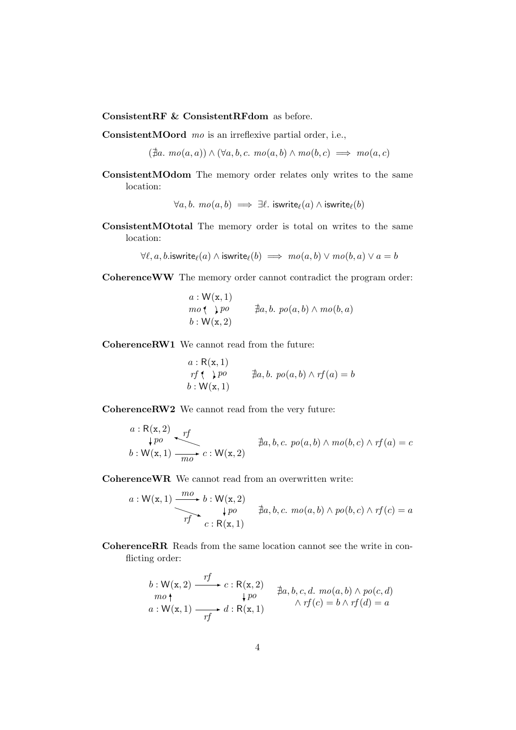ConsistentRF & ConsistentRFdom as before.

ConsistentMOord mo is an irreflexive partial order, i.e.,

 $(\nexists a. \, mo(a, a)) \land (\forall a, b, c. \, mo(a, b) \land mo(b, c) \implies mo(a, c)$ 

ConsistentMOdom The memory order relates only writes to the same location:

 $\forall a, b. \, mo(a, b) \implies \exists l. \, iswrite_{\ell}(a) \land iswrite_{\ell}(b)$ 

ConsistentMOtotal The memory order is total on writes to the same location:

 $\forall \ell, a, b$ .iswrite $\ell(a) \land$  iswrite $\ell(b) \implies \textit{mo}(a, b) \lor \textit{mo}(b, a) \lor a = b$ 

CoherenceWW The memory order cannot contradict the program order:

 $a: W(\mathbf{x}, 1)$  $b: W(x, 2)$ mo (b, a)  $\uparrow$  po  $\uparrow$   $\uparrow$  a, b. po(a, b)  $\land$  mo(b, a)

CoherenceRW1 We cannot read from the future:

$$
a: R(x, 1)
$$
  
\n
$$
rf \qquad \nexists a, b. \ p o(a, b) \land rf(a) = b
$$
  
\n
$$
b: W(x, 1)
$$

CoherenceRW2 We cannot read from the very future:

$$
a: \mathsf{R}(x,2) \longrightarrow_{\mathfrak{p}o} \mathfrak{f} \qquad \qquad \sharp a,b,c.\ p o(a,b) \land m o(b,c) \land r f(a) = c
$$
  

$$
b: \mathsf{W}(x,1) \longrightarrow_{\mathfrak{m}o} c: \mathsf{W}(x,2)
$$

CoherenceWR We cannot read from an overwritten write:

$$
a: \mathsf{W}(\mathbf{x}, 1) \xrightarrow{mo} b: \mathsf{W}(\mathbf{x}, 2) \qquad \downarrow po \qquad \nexists a, b, c. \quad \text{mo}(a, b) \land \text{po}(b, c) \land \text{rf}(c) = a
$$

CoherenceRR Reads from the same location cannot see the write in conflicting order:

$$
b: \mathsf{W}(\mathbf{x}, 2) \xrightarrow{rf} c: \mathsf{R}(\mathbf{x}, 2) \qquad \nexists a, b, c, d. \quad \text{mo}(a, b) \land \text{po}(c, d)
$$
\n
$$
a: \mathsf{W}(\mathbf{x}, 1) \xrightarrow{rf} d: \mathsf{R}(\mathbf{x}, 1) \qquad \qquad \land \text{rf}(c) = b \land \text{rf}(d) = a
$$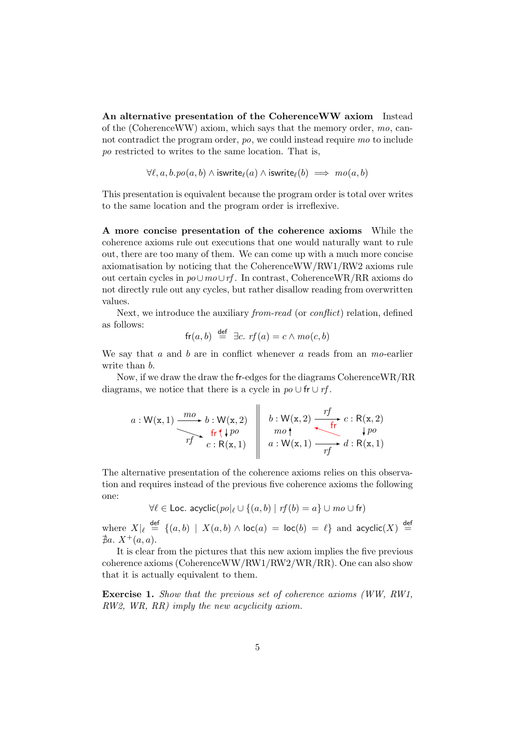An alternative presentation of the CoherenceWW axiom Instead of the (CoherenceWW) axiom, which says that the memory order,  $mo$ , cannot contradict the program order, po, we could instead require mo to include po restricted to writes to the same location. That is,

$$
\forall \ell, a, b. po(a, b) \land \mathsf{iswrite}_{\ell}(a) \land \mathsf{iswrite}_{\ell}(b) \implies \mathit{mo}(a, b)
$$

This presentation is equivalent because the program order is total over writes to the same location and the program order is irreflexive.

A more concise presentation of the coherence axioms While the coherence axioms rule out executions that one would naturally want to rule out, there are too many of them. We can come up with a much more concise axiomatisation by noticing that the CoherenceWW/RW1/RW2 axioms rule out certain cycles in  $po\cup mo\cup rf$ . In contrast, CoherenceWR/RR axioms do not directly rule out any cycles, but rather disallow reading from overwritten values.

Next, we introduce the auxiliary *from-read* (or *conflict*) relation, defined as follows:

$$
fr(a, b) \stackrel{\text{def}}{=} \exists c. \text{ } rf(a) = c \land \text{mo}(c, b)
$$

We say that  $a$  and  $b$  are in conflict whenever  $a$  reads from an mo-earlier write than  $b$ .

Now, if we draw the draw the fr-edges for the diagrams CoherenceWR/RR diagrams, we notice that there is a cycle in  $po \cup fr \cup rf$ .

$$
a: \mathsf{W}(\mathbf{x}, 1) \xrightarrow{mo} b: \mathsf{W}(\mathbf{x}, 2) \quad b: \mathsf{W}(\mathbf{x}, 2) \xrightarrow{rf} c: \mathsf{R}(\mathbf{x}, 2) \xrightarrow{rf} c: \mathsf{R}(\mathbf{x}, 2) \xrightarrow{rf} f \rightarrow c: \mathsf{R}(\mathbf{x}, 2) \xrightarrow{rf} d: \mathsf{R}(\mathbf{x}, 1)
$$

The alternative presentation of the coherence axioms relies on this observation and requires instead of the previous five coherence axioms the following one:

$$
\forall \ell \in \text{Loc. acyclic}(po|_{\ell} \cup \{(a, b) \mid rf(b) = a\} \cup mo \cup \text{fr})
$$

where  $X|_{\ell} \stackrel{\text{def}}{=} \{(a, b) | X(a, b) \wedge \text{loc}(a) = \text{loc}(b) = \ell\}$  and acyclic $(X) \stackrel{\text{def}}{=}$  $\nexists a. X^+(a, a).$ 

It is clear from the pictures that this new axiom implies the five previous coherence axioms (CoherenceWW/RW1/RW2/WR/RR). One can also show that it is actually equivalent to them.

Exercise 1. Show that the previous set of coherence axioms (WW, RW1, RW2, WR, RR) imply the new acyclicity axiom.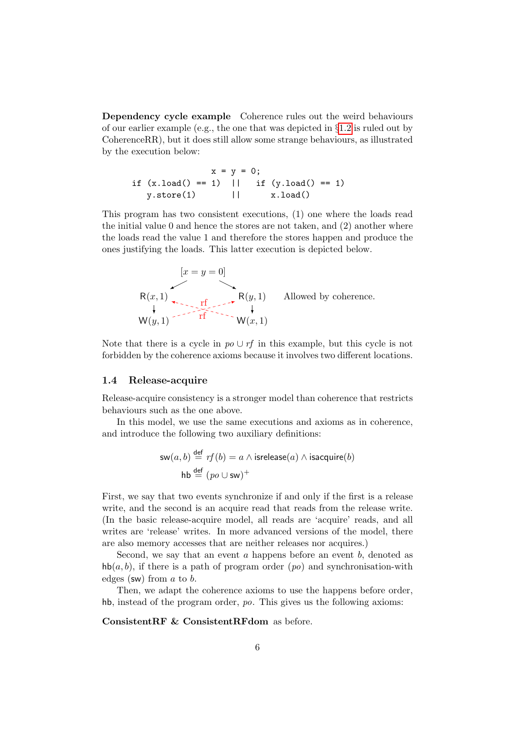Dependency cycle example Coherence rules out the weird behaviours of our earlier example (e.g., the one that was depicted in §[1.2](#page-2-0) is ruled out by CoherenceRR), but it does still allow some strange behaviours, as illustrated by the execution below:

$$
x = y = 0;
$$
  
if (x.load() == 1) || if (y.load() == 1)  
y.store(1) || x.load()

This program has two consistent executions, (1) one where the loads read the initial value 0 and hence the stores are not taken, and  $(2)$  another where the loads read the value 1 and therefore the stores happen and produce the ones justifying the loads. This latter execution is depicted below.

$$
[x = y = 0]
$$
  
\nR(x, 1)  
\n
$$
\uparrow
$$
  
\nW(y, 1)  
\n
$$
F(y, 1)
$$
  
\n
$$
\uparrow
$$
  
\nR(y, 1)  
\nAllowed by coherence.  
\nW(x, 1)

Note that there is a cycle in  $po \cup rf$  in this example, but this cycle is not forbidden by the coherence axioms because it involves two different locations.

#### 1.4 Release-acquire

Release-acquire consistency is a stronger model than coherence that restricts behaviours such as the one above.

In this model, we use the same executions and axioms as in coherence, and introduce the following two auxiliary definitions:

$$
\mathsf{sw}(a,b) \stackrel{\mathsf{def}}{=} \mathit{rf}(b) = a \land \mathsf{isrelease}(a) \land \mathsf{isacquire}(b)
$$
\n
$$
\mathsf{hb} \stackrel{\mathsf{def}}{=} (\mathit{po} \cup \mathsf{sw})^+
$$

First, we say that two events synchronize if and only if the first is a release write, and the second is an acquire read that reads from the release write. (In the basic release-acquire model, all reads are 'acquire' reads, and all writes are 'release' writes. In more advanced versions of the model, there are also memory accesses that are neither releases nor acquires.)

Second, we say that an event  $\alpha$  happens before an event  $\alpha$ , denoted as  $h\mathbf{b}(a, b)$ , if there is a path of program order  $(po)$  and synchronisation-with edges (sw) from  $a$  to  $b$ .

Then, we adapt the coherence axioms to use the happens before order, hb, instead of the program order, po. This gives us the following axioms:

ConsistentRF & ConsistentRFdom as before.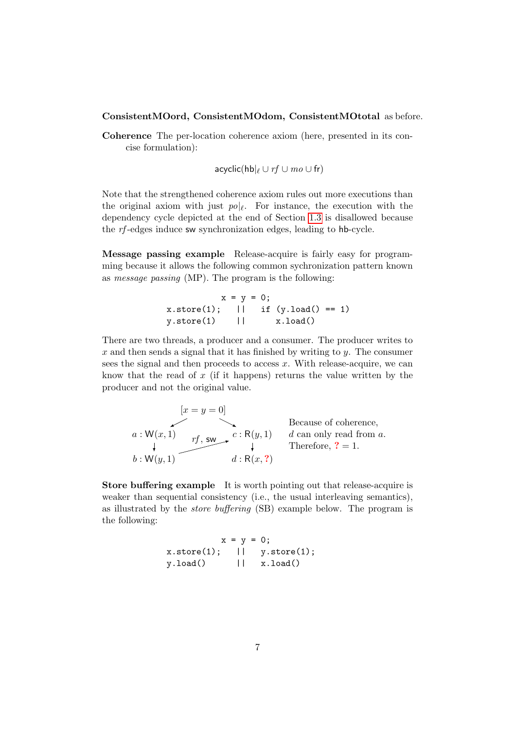#### ConsistentMOord, ConsistentMOdom, ConsistentMOtotal as before.

Coherence The per-location coherence axiom (here, presented in its concise formulation):

$$
\mathsf{acyclic}(\mathsf{hb}|_{\ell} \cup rf \cup \mathit{mo} \cup \mathsf{fr})
$$

Note that the strengthened coherence axiom rules out more executions than the original axiom with just  $p\circ\left|e\right|$ . For instance, the execution with the dependency cycle depicted at the end of Section [1.3](#page-2-1) is disallowed because the rf -edges induce sw synchronization edges, leading to hb-cycle.

Message passing example Release-acquire is fairly easy for programming because it allows the following common sychronization pattern known as message passing (MP). The program is the following:

> $x = y = 0;$  $x.\text{store}(1);$  || if  $(y.\text{load}() == 1)$ <br> $y.\text{store}(1)$  ||  $x.\text{load}()$ y.store(1) || x.load()

There are two threads, a producer and a consumer. The producer writes to x and then sends a signal that it has finished by writing to  $y$ . The consumer sees the signal and then proceeds to access  $x$ . With release-acquire, we can know that the read of  $x$  (if it happens) returns the value written by the producer and not the original value.

$$
[x = y = 0]
$$
  
Because of coherence,  
 $a: W(x, 1)$   
 $bf$ ,  $sw$   
 $b: W(y, 1)$   
 $c: R(y, 1)$   
 $d: R(x, ?)$   
Therefore, ? = 1.

Store buffering example It is worth pointing out that release-acquire is weaker than sequential consistency (i.e., the usual interleaving semantics), as illustrated by the store buffering (SB) example below. The program is the following:

> $x = y = 0;$ x.store(1); || y.store(1);  $y.load()$  ||  $x.load()$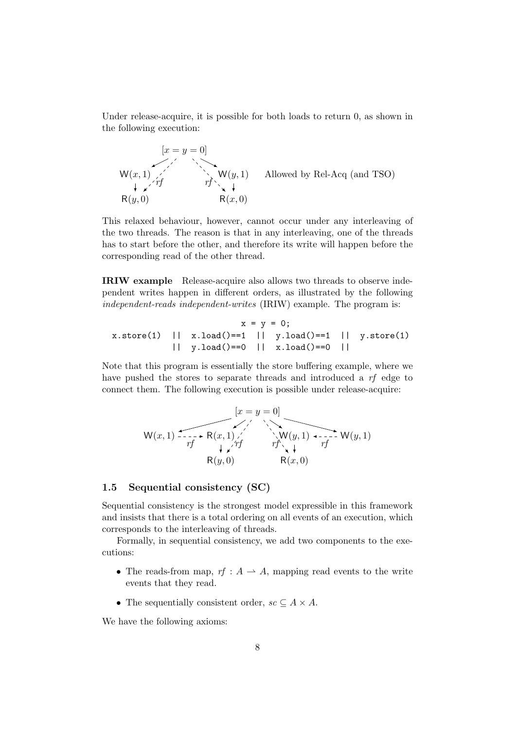Under release-acquire, it is possible for both loads to return 0, as shown in the following execution:

$$
[x = y = 0]
$$
  
\n
$$
W(x, 1)
$$
  
\n
$$
W(y, 1)
$$
  
\n
$$
W(y, 1)
$$
  
\n
$$
W(x, 0)
$$
  
\n
$$
W(y, 1)
$$
  
\n
$$
W(y, 1)
$$
  
\n
$$
W(x, 0)
$$
  
\n
$$
W(x, 0)
$$
  
\n
$$
W(x, 0)
$$
  
\n
$$
W(x, 0)
$$
  
\n
$$
W(x, 0)
$$

This relaxed behaviour, however, cannot occur under any interleaving of the two threads. The reason is that in any interleaving, one of the threads has to start before the other, and therefore its write will happen before the corresponding read of the other thread.

IRIW example Release-acquire also allows two threads to observe independent writes happen in different orders, as illustrated by the following independent-reads independent-writes (IRIW) example. The program is:

$$
x = y = 0;
$$
  
x.store(1) || x.load()==1 || y.load()==1 || y.store(1)  
|| y.load()==0 || x.load()==0 ||

Note that this program is essentially the store buffering example, where we have pushed the stores to separate threads and introduced a rf edge to connect them. The following execution is possible under release-acquire:

$$
[x = y = 0]
$$
\n
$$
W(x, 1) \xrightarrow{rf} R(x, 1) \xleftarrow{f} R(y, 0) \xrightarrow{rf} W(y, 1) \xrightarrow{rf} W(y, 1)
$$
\n
$$
R(y, 0) \xrightarrow{R(x, 0)}
$$

## 1.5 Sequential consistency (SC)

Sequential consistency is the strongest model expressible in this framework and insists that there is a total ordering on all events of an execution, which corresponds to the interleaving of threads.

Formally, in sequential consistency, we add two components to the executions:

- The reads-from map,  $rf : A \rightarrow A$ , mapping read events to the write events that they read.
- The sequentially consistent order,  $sc \subseteq A \times A$ .

We have the following axioms: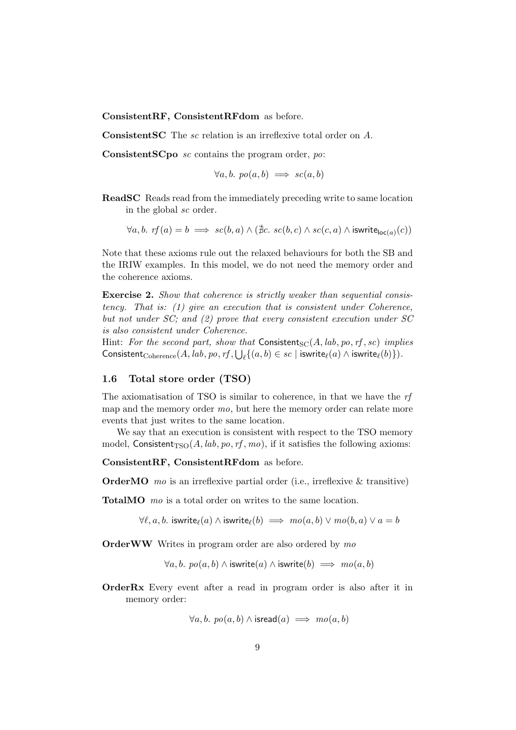ConsistentRF, ConsistentRFdom as before.

ConsistentSC The sc relation is an irreflexive total order on A.

ConsistentSCpo sc contains the program order, po:

 $\forall a, b. \; po(a, b) \implies sc(a, b)$ 

ReadSC Reads read from the immediately preceding write to same location in the global sc order.

$$
\forall a, b. \text{ rf}(a) = b \implies sc(b, a) \land (\nexists c. \text{ sc}(b, c) \land sc(c, a) \land \text{iswrite}_{\text{loc}(a)}(c))
$$

Note that these axioms rule out the relaxed behaviours for both the SB and the IRIW examples. In this model, we do not need the memory order and the coherence axioms.

Exercise 2. Show that coherence is strictly weaker than sequential consistency. That is: (1) give an execution that is consistent under Coherence, but not under SC; and (2) prove that every consistent execution under SC is also consistent under Coherence.

Hint: For the second part, show that Consistent<sub>SC</sub>(A, lab, po, rf, sc) implies Consistent ${}_{\text{Coherence}}(A, lab, po, rf, \bigcup_{\ell} \{(a, b) \in sc \mid \text{iswrite}_{\ell}(a) \land \text{iswrite}_{\ell}(b)\}).$ 

### 1.6 Total store order (TSO)

The axiomatisation of TSO is similar to coherence, in that we have the rf map and the memory order mo, but here the memory order can relate more events that just writes to the same location.

We say that an execution is consistent with respect to the TSO memory model, Consistent<sub>TSO</sub> $(A, lab, po, rf, mo)$ , if it satisfies the following axioms:

ConsistentRF, ConsistentRFdom as before.

**OrderMO** mo is an irreflexive partial order (i.e., irreflexive  $\&$  transitive)

TotalMO *mo* is a total order on writes to the same location.

 $\forall \ell, a, b$ . iswrite $\ell(a) \land$  iswrite $\ell(b) \implies m o(a, b) \lor m o(b, a) \lor a = b$ 

**OrderWW** Writes in program order are also ordered by mo

 $\forall a, b. \ p o(a, b) \land \text{iswrite}(a) \land \text{iswrite}(b) \implies \text{mo}(a, b)$ 

OrderRx Every event after a read in program order is also after it in memory order:

$$
\forall a,b.\ po(a,b) \land \mathsf{isread}(a) \implies \mathit{mo}(a,b)
$$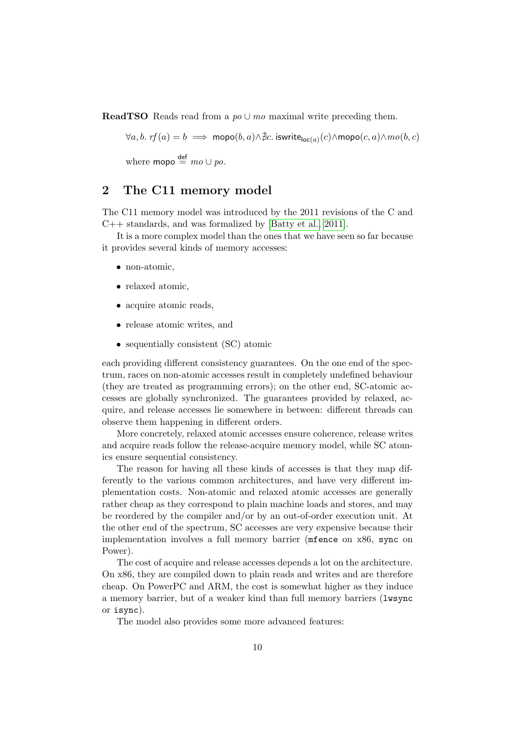**ReadTSO** Reads read from a  $po \cup mo$  maximal write preceding them.

 $\forall a, b. \text{ rf}(a) = b \implies \text{mopo}(b, a) \land \nexists c. \text{ iswrite}_{\text{loc}(a)}(c) \land \text{mopo}(c, a) \land \text{mo}(b, c)$ 

where **mopo**  $\stackrel{\text{def}}{=} mo \cup po$ .

# 2 The C11 memory model

The C11 memory model was introduced by the 2011 revisions of the C and C++ standards, and was formalized by [\[Batty et al., 2011\]](#page-13-0).

It is a more complex model than the ones that we have seen so far because it provides several kinds of memory accesses:

- non-atomic,
- relaxed atomic,
- acquire atomic reads,
- release atomic writes, and
- sequentially consistent (SC) atomic

each providing different consistency guarantees. On the one end of the spectrum, races on non-atomic accesses result in completely undefined behaviour (they are treated as programming errors); on the other end, SC-atomic accesses are globally synchronized. The guarantees provided by relaxed, acquire, and release accesses lie somewhere in between: different threads can observe them happening in different orders.

More concretely, relaxed atomic accesses ensure coherence, release writes and acquire reads follow the release-acquire memory model, while SC atomics ensure sequential consistency.

The reason for having all these kinds of accesses is that they map differently to the various common architectures, and have very different implementation costs. Non-atomic and relaxed atomic accesses are generally rather cheap as they correspond to plain machine loads and stores, and may be reordered by the compiler and/or by an out-of-order execution unit. At the other end of the spectrum, SC accesses are very expensive because their implementation involves a full memory barrier (mfence on x86, sync on Power).

The cost of acquire and release accesses depends a lot on the architecture. On x86, they are compiled down to plain reads and writes and are therefore cheap. On PowerPC and ARM, the cost is somewhat higher as they induce a memory barrier, but of a weaker kind than full memory barriers (lwsync or isync).

The model also provides some more advanced features: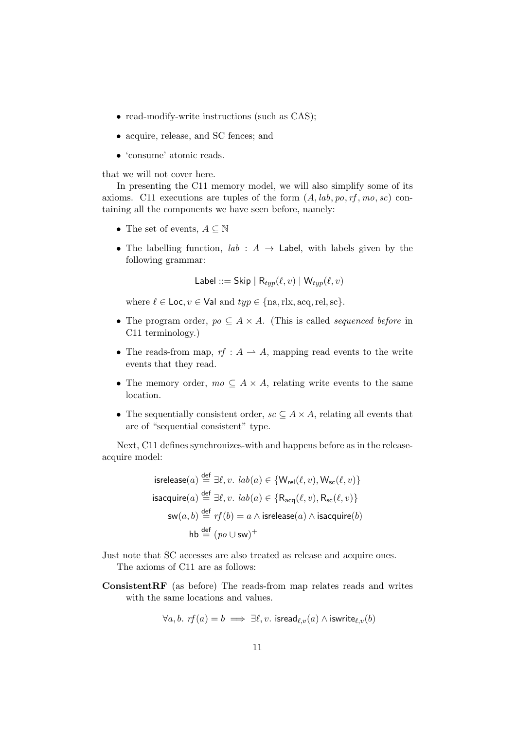- read-modify-write instructions (such as CAS);
- acquire, release, and SC fences; and
- 'consume' atomic reads.

that we will not cover here.

In presenting the C11 memory model, we will also simplify some of its axioms. C11 executions are tuples of the form  $(A, lab, po, rf, mo, sc)$  containing all the components we have seen before, namely:

- The set of events,  $A \subseteq \mathbb{N}$
- The labelling function,  $lab: A \rightarrow$  Label, with labels given by the following grammar:

Label ::= Skip | 
$$
R_{typ}(\ell, v)
$$
 |  $W_{typ}(\ell, v)$ 

where  $\ell \in \text{Loc}, v \in \text{Val}$  and  $typ \in \{\text{na}, \text{rlx}, \text{acq}, \text{rel}, \text{sc}\}.$ 

- The program order,  $po \subseteq A \times A$ . (This is called *sequenced before* in C11 terminology.)
- The reads-from map,  $rf : A \rightarrow A$ , mapping read events to the write events that they read.
- The memory order,  $mo \subseteq A \times A$ , relating write events to the same location.
- The sequentially consistent order,  $sc \subseteq A \times A$ , relating all events that are of "sequential consistent" type.

Next, C11 defines synchronizes-with and happens before as in the releaseacquire model:

isrelcase(a) 
$$
\stackrel{\text{def}}{=} \exists \ell, v. \ lab(a) \in \{W_{rel}(\ell, v), W_{sc}(\ell, v)\}
$$
  
isacquire(a)  $\stackrel{\text{def}}{=} \exists \ell, v. \ lab(a) \in \{R_{acq}(\ell, v), R_{sc}(\ell, v)\}$   
sw(a, b)  $\stackrel{\text{def}}{=} rf(b) = a \land isrelcase(a) \land isacquire(b)$   
hb  $\stackrel{\text{def}}{=} (po \cup sw)^+$ 

- Just note that SC accesses are also treated as release and acquire ones. The axioms of C11 are as follows:
- ConsistentRF (as before) The reads-from map relates reads and writes with the same locations and values.

$$
\forall a,b. \text{ } rf(a) = b \implies \exists \ell, v. \text{ } \textsf{isread}_{\ell,v}(a) \wedge \textsf{iswrite}_{\ell,v}(b)
$$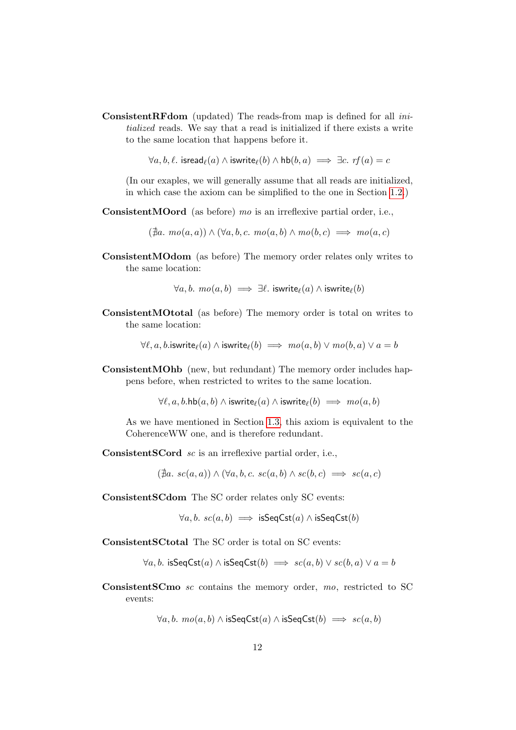ConsistentRFdom (updated) The reads-from map is defined for all initialized reads. We say that a read is initialized if there exists a write to the same location that happens before it.

 $\forall a, b, \ell$ . isread $\rho(a) \wedge$  iswrite $\rho(b) \wedge \text{hb}(b, a) \implies \exists c. \text{rf}(a) = c$ 

(In our exaples, we will generally assume that all reads are initialized, in which case the axiom can be simplified to the one in Section [1.2.](#page-2-0))

ConsistentMOord (as before) mo is an irreflexive partial order, i.e.,

 $(\nexists a. \, mo(a, a)) \land (\forall a, b, c. \, mo(a, b) \land mo(b, c) \implies mo(a, c)$ 

ConsistentMOdom (as before) The memory order relates only writes to the same location:

$$
\forall a, b. \ \textit{mo}(a, b) \implies \exists \ell. \ \textsf{iswrite}_{\ell}(a) \land \textsf{iswrite}_{\ell}(b)
$$

ConsistentMOtotal (as before) The memory order is total on writes to the same location:

 $\forall \ell, a, b$ .iswrite $_{\ell}(a) \wedge$  iswrite $_{\ell}(b) \implies \textit{mo}(a, b) \vee \textit{mo}(b, a) \vee a = b$ 

ConsistentMOhb (new, but redundant) The memory order includes happens before, when restricted to writes to the same location.

 $\forall \ell, a, b.$ hb $(a, b) \wedge$  iswrite $\ell(a) \wedge$  iswrite $\ell(b) \implies \textit{mo}(a, b)$ 

As we have mentioned in Section [1.3,](#page-2-1) this axiom is equivalent to the CoherenceWW one, and is therefore redundant.

ConsistentSCord sc is an irreflexive partial order, i.e.,

 $(\nexists a. sc(a, a)) \wedge (\forall a, b, c. sc(a, b) \wedge sc(b, c) \implies sc(a, c)$ 

ConsistentSCdom The SC order relates only SC events:

 $\forall a, b. \; sc(a, b) \implies \text{isSeqCst}(a) \land \text{isSeqCst}(b)$ 

ConsistentSCtotal The SC order is total on SC events:

 $\forall a, b$ . isSeqCst $(a) \land$  isSeqCst $(b) \implies sc(a, b) \lor sc(b, a) \lor a = b$ 

ConsistentSCmo sc contains the memory order, mo, restricted to SC events:

 $\forall a, b. \, mo(a, b) \land \text{isSeqCst}(a) \land \text{isSeqCst}(b) \implies sc(a, b)$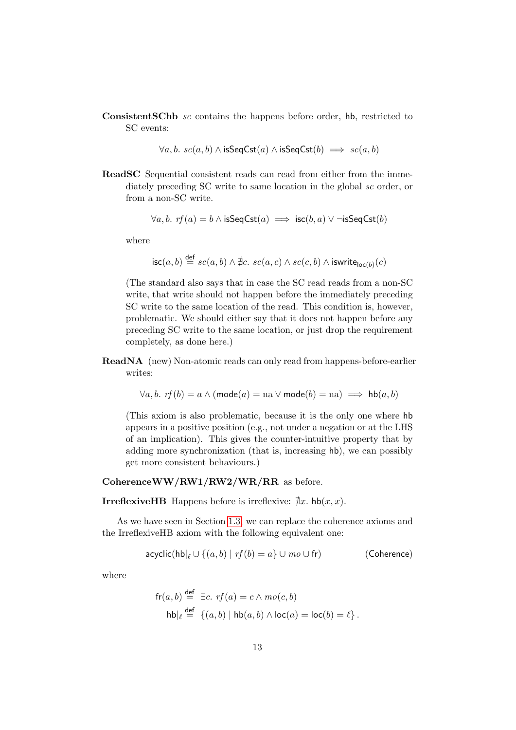ConsistentSChb sc contains the happens before order, hb, restricted to SC events:

 $\forall a, b. \; sc(a, b) \land \text{isSeqCst}(a) \land \text{isSeqCst}(b) \implies sc(a, b)$ 

ReadSC Sequential consistent reads can read from either from the immediately preceding SC write to same location in the global sc order, or from a non-SC write.

$$
\forall a, b. \text{ rf}(a) = b \land \text{isSeqCst}(a) \implies \text{isc}(b, a) \lor \neg \text{isSeqCst}(b)
$$

where

$$
\mathsf{isc}(a, b) \stackrel{\mathsf{def}}{=} sc(a, b) \land \nexists c. sc(a, c) \land sc(c, b) \land \mathsf{iswrite}_{\mathsf{loc}(b)}(c)
$$

(The standard also says that in case the SC read reads from a non-SC write, that write should not happen before the immediately preceding SC write to the same location of the read. This condition is, however, problematic. We should either say that it does not happen before any preceding SC write to the same location, or just drop the requirement completely, as done here.)

ReadNA (new) Non-atomic reads can only read from happens-before-earlier writes:

$$
\forall a, b. \text{ rf}(b) = a \land (\text{mode}(a) = \text{na} \lor \text{mode}(b) = \text{na}) \implies \text{hb}(a, b)
$$

(This axiom is also problematic, because it is the only one where hb appears in a positive position (e.g., not under a negation or at the LHS of an implication). This gives the counter-intuitive property that by adding more synchronization (that is, increasing hb), we can possibly get more consistent behaviours.)

#### CoherenceWW/RW1/RW2/WR/RR as before.

**IrreflexiveHB** Happens before is irreflexive:  $\exists x$ . hb(x, x).

As we have seen in Section [1.3,](#page-2-1) we can replace the coherence axioms and the IrreflexiveHB axiom with the following equivalent one:

$$
\mathsf{acyclic}(\mathsf{hb}|_{\ell} \cup \{(a,b) \mid rf(b) = a\} \cup \mathsf{mo} \cup \mathsf{fr}) \tagsf{Coherence}
$$

where

$$
\begin{aligned} \mathsf{fr}(a,b) & \stackrel{\mathsf{def}}{=} \exists c. \; \mathsf{rf}(a) = c \land \mathsf{mo}(c,b) \\ \mathsf{hb}\big|_{\ell} & \stackrel{\mathsf{def}}{=} \{ (a,b) \mid \mathsf{hb}(a,b) \land \mathsf{loc}(a) = \mathsf{loc}(b) = \ell \} \,. \end{aligned}
$$